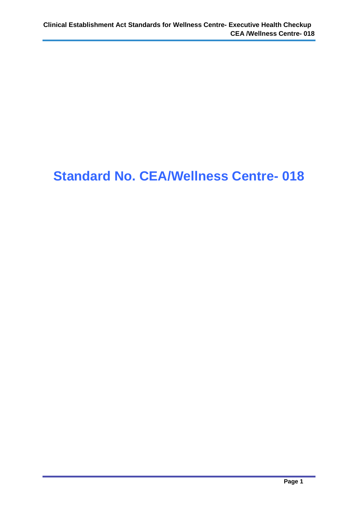# **Standard No. CEA/Wellness Centre- 018**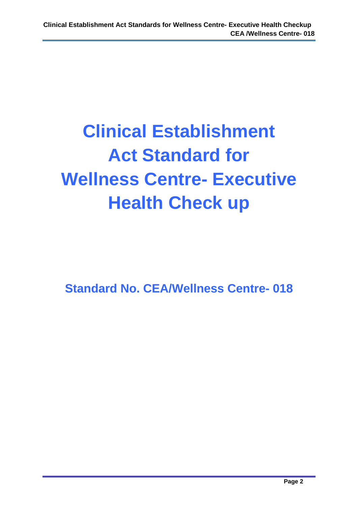# **Clinical Establishment Act Standard for Wellness Centre- Executive Health Check up**

**Standard No. CEA/Wellness Centre- 018**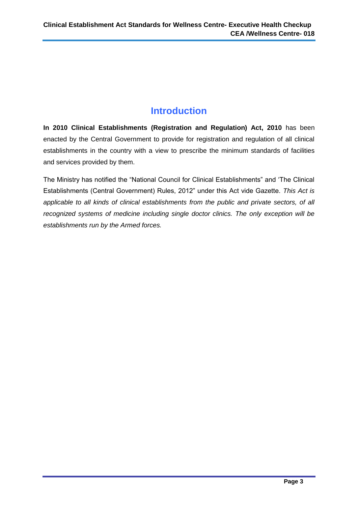# **Introduction**

**In 2010 Clinical Establishments (Registration and Regulation) Act, 2010** has been enacted by the Central Government to provide for registration and regulation of all clinical establishments in the country with a view to prescribe the minimum standards of facilities and services provided by them.

The Ministry has notified the "National Council for Clinical Establishments" and 'The Clinical Establishments (Central Government) Rules, 2012" under this Act vide Gazette. *This Act is applicable to all kinds of clinical establishments from the public and private sectors, of all recognized systems of medicine including single doctor clinics. The only exception will be establishments run by the Armed forces.*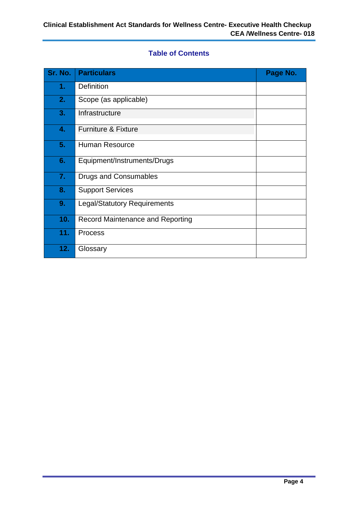#### **Table of Contents**

| Sr. No. | <b>Particulars</b>                  | Page No. |
|---------|-------------------------------------|----------|
| 1.      | Definition                          |          |
| 2.      | Scope (as applicable)               |          |
| 3.      | Infrastructure                      |          |
| 4.      | <b>Furniture &amp; Fixture</b>      |          |
| 5.      | <b>Human Resource</b>               |          |
| 6.      | Equipment/Instruments/Drugs         |          |
| 7.      | <b>Drugs and Consumables</b>        |          |
| 8.      | <b>Support Services</b>             |          |
| 9.      | <b>Legal/Statutory Requirements</b> |          |
| 10.     | Record Maintenance and Reporting    |          |
| 11.     | <b>Process</b>                      |          |
| 12.     | Glossary                            |          |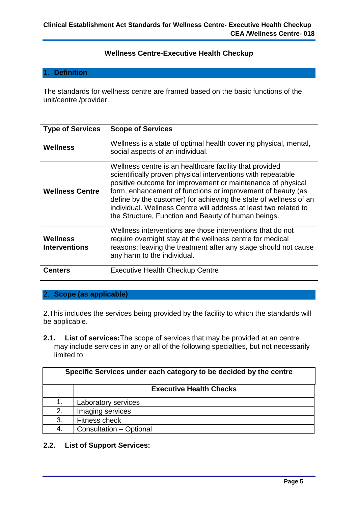#### **Wellness Centre-Executive Health Checkup**

#### 1. **Definition**

The standards for wellness centre are framed based on the basic functions of the unit/centre /provider.

| <b>Type of Services</b>          | <b>Scope of Services</b>                                                                                                                                                                                                                                                                                                                                                                                                                              |  |
|----------------------------------|-------------------------------------------------------------------------------------------------------------------------------------------------------------------------------------------------------------------------------------------------------------------------------------------------------------------------------------------------------------------------------------------------------------------------------------------------------|--|
| Wellness                         | Wellness is a state of optimal health covering physical, mental,<br>social aspects of an individual.                                                                                                                                                                                                                                                                                                                                                  |  |
| <b>Wellness Centre</b>           | Wellness centre is an healthcare facility that provided<br>scientifically proven physical interventions with repeatable<br>positive outcome for improvement or maintenance of physical<br>form, enhancement of functions or improvement of beauty (as<br>define by the customer) for achieving the state of wellness of an<br>individual. Wellness Centre will address at least two related to<br>the Structure, Function and Beauty of human beings. |  |
| Wellness<br><b>Interventions</b> | Wellness interventions are those interventions that do not<br>require overnight stay at the wellness centre for medical<br>reasons; leaving the treatment after any stage should not cause<br>any harm to the individual.                                                                                                                                                                                                                             |  |
| <b>Centers</b>                   | <b>Executive Health Checkup Centre</b>                                                                                                                                                                                                                                                                                                                                                                                                                |  |

# 2. **Scope (as applicable)**

2.This includes the services being provided by the facility to which the standards will be applicable.

**2.1. List of services:**The scope of services that may be provided at an centre may include services in any or all of the following specialties, but not necessarily limited to:

| Specific Services under each category to be decided by the centre |                                |  |
|-------------------------------------------------------------------|--------------------------------|--|
|                                                                   | <b>Executive Health Checks</b> |  |
| 1.                                                                | Laboratory services            |  |
| 2.                                                                | Imaging services               |  |
| 3.                                                                | Fitness check                  |  |
| 4.                                                                | Consultation - Optional        |  |

#### **2.2. List of Support Services:**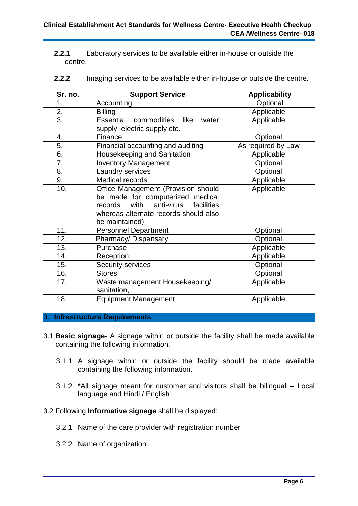**2.2.1** Laboratory services to be available either in-house or outside the centre.

| Sr. no. | <b>Support Service</b>                                                                                                                                                            | <b>Applicability</b> |
|---------|-----------------------------------------------------------------------------------------------------------------------------------------------------------------------------------|----------------------|
| 1.      | Accounting,                                                                                                                                                                       | Optional             |
| 2.      | <b>Billing</b>                                                                                                                                                                    | Applicable           |
| 3.      | Essential commodities like<br>water<br>supply, electric supply etc.                                                                                                               | Applicable           |
| 4.      | Finance                                                                                                                                                                           | Optional             |
| 5.      | Financial accounting and auditing                                                                                                                                                 | As required by Law   |
| 6.      | Housekeeping and Sanitation                                                                                                                                                       | Applicable           |
| 7.      | <b>Inventory Management</b>                                                                                                                                                       | Optional             |
| 8.      | Laundry services                                                                                                                                                                  | Optional             |
| 9.      | <b>Medical records</b>                                                                                                                                                            | Applicable           |
| 10.     | Office Management (Provision should<br>be made for computerized medical<br>anti-virus<br>with<br>facilities<br>records<br>whereas alternate records should also<br>be maintained) | Applicable           |
| 11.     | <b>Personnel Department</b>                                                                                                                                                       | Optional             |
| 12.     | Pharmacy/Dispensary                                                                                                                                                               | Optional             |
| 13.     | Purchase                                                                                                                                                                          | Applicable           |
| 14.     | Reception,                                                                                                                                                                        | Applicable           |
| 15.     | Security services                                                                                                                                                                 | Optional             |
| 16.     | <b>Stores</b>                                                                                                                                                                     | Optional             |
| 17.     | Waste management Housekeeping/<br>sanitation,                                                                                                                                     | Applicable           |
| 18.     | <b>Equipment Management</b>                                                                                                                                                       | Applicable           |

**2.2.2** Imaging services to be available either in-house or outside the centre.

#### 3. **Infrastructure Requirements**

- 3.1 **Basic signage-** A signage within or outside the facility shall be made available containing the following information.
	- 3.1.1 A signage within or outside the facility should be made available containing the following information.
	- 3.1.2 \*All signage meant for customer and visitors shall be bilingual Local language and Hindi / English
- 3.2 Following **Informative signage** shall be displayed:
	- 3.2.1 Name of the care provider with registration number
	- 3.2.2 Name of organization.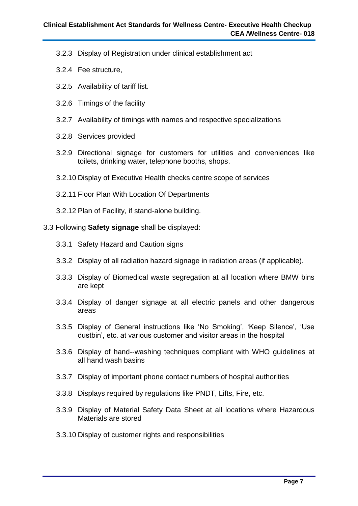- 3.2.3 Display of Registration under clinical establishment act
- 3.2.4 Fee structure,
- 3.2.5 Availability of tariff list.
- 3.2.6 Timings of the facility
- 3.2.7 Availability of timings with names and respective specializations
- 3.2.8 Services provided
- 3.2.9 Directional signage for customers for utilities and conveniences like toilets, drinking water, telephone booths, shops.
- 3.2.10 Display of Executive Health checks centre scope of services
- 3.2.11 Floor Plan With Location Of Departments
- 3.2.12 Plan of Facility, if stand-alone building.

#### 3.3 Following **Safety signage** shall be displayed:

- 3.3.1 Safety Hazard and Caution signs
- 3.3.2 Display of all radiation hazard signage in radiation areas (if applicable).
- 3.3.3 Display of Biomedical waste segregation at all location where BMW bins are kept
- 3.3.4 Display of danger signage at all electric panels and other dangerous areas
- 3.3.5 Display of General instructions like 'No Smoking', 'Keep Silence', 'Use dustbin', etc. at various customer and visitor areas in the hospital
- 3.3.6 Display of hand--washing techniques compliant with WHO guidelines at all hand wash basins
- 3.3.7 Display of important phone contact numbers of hospital authorities
- 3.3.8 Displays required by regulations like PNDT, Lifts, Fire, etc.
- 3.3.9 Display of Material Safety Data Sheet at all locations where Hazardous Materials are stored
- 3.3.10 Display of customer rights and responsibilities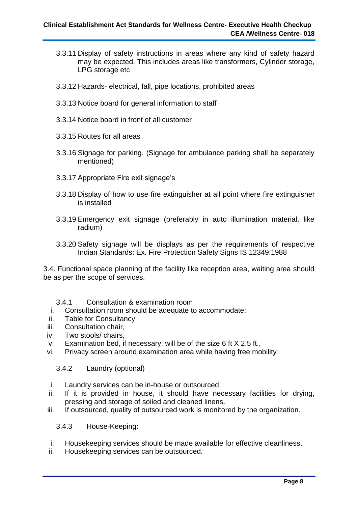- 3.3.11 Display of safety instructions in areas where any kind of safety hazard may be expected. This includes areas like transformers, Cylinder storage, LPG storage etc
- 3.3.12 Hazards- electrical, fall, pipe locations, prohibited areas
- 3.3.13 Notice board for general information to staff
- 3.3.14 Notice board in front of all customer
- 3.3.15 Routes for all areas
- 3.3.16 Signage for parking. (Signage for ambulance parking shall be separately mentioned)
- 3.3.17 Appropriate Fire exit signage's
- 3.3.18 Display of how to use fire extinguisher at all point where fire extinguisher is installed
- 3.3.19 Emergency exit signage (preferably in auto illumination material, like radium)
- 3.3.20 Safety signage will be displays as per the requirements of respective Indian Standards: Ex. Fire Protection Safety Signs IS 12349:1988

3.4. Functional space planning of the facility like reception area, waiting area should be as per the scope of services.

#### 3.4.1 Consultation & examination room

- i. Consultation room should be adequate to accommodate:
- ii. Table for Consultancy
- iii. Consultation chair,
- iv. Two stools/ chairs,
- v. Examination bed, if necessary, will be of the size 6 ft X 2.5 ft.,
- vi. Privacy screen around examination area while having free mobility

#### 3.4.2 Laundry (optional)

- i. Laundry services can be in-house or outsourced.
- ii. If it is provided in house, it should have necessary facilities for drying, pressing and storage of soiled and cleaned linens.
- iii. If outsourced, quality of outsourced work is monitored by the organization.

3.4.3 House-Keeping:

- i. Housekeeping services should be made available for effective cleanliness.
- ii. Housekeeping services can be outsourced.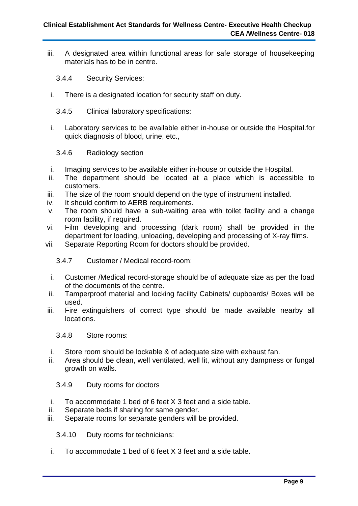- iii. A designated area within functional areas for safe storage of housekeeping materials has to be in centre.
	- 3.4.4 Security Services:
- i. There is a designated location for security staff on duty.
	- 3.4.5 Clinical laboratory specifications:
- i. Laboratory services to be available either in-house or outside the Hospital.for quick diagnosis of blood, urine, etc.,
	- 3.4.6 Radiology section
- i. Imaging services to be available either in-house or outside the Hospital.
- ii. The department should be located at a place which is accessible to customers.
- iii. The size of the room should depend on the type of instrument installed.
- iv. It should confirm to AERB requirements.
- v. The room should have a sub-waiting area with toilet facility and a change room facility, if required.
- vi. Film developing and processing (dark room) shall be provided in the department for loading, unloading, developing and processing of X-ray films.
- vii. Separate Reporting Room for doctors should be provided.

#### 3.4.7 Customer / Medical record-room:

- i. Customer /Medical record-storage should be of adequate size as per the load of the documents of the centre.
- ii. Tamperproof material and locking facility Cabinets/ cupboards/ Boxes will be used.
- iii. Fire extinguishers of correct type should be made available nearby all locations.

#### 3.4.8 Store rooms:

- i. Store room should be lockable & of adequate size with exhaust fan.
- ii. Area should be clean, well ventilated, well lit, without any dampness or fungal growth on walls.

#### 3.4.9 Duty rooms for doctors

- i. To accommodate 1 bed of 6 feet X 3 feet and a side table.
- ii. Separate beds if sharing for same gender.
- iii. Separate rooms for separate genders will be provided.

3.4.10 Duty rooms for technicians:

i. To accommodate 1 bed of 6 feet X 3 feet and a side table.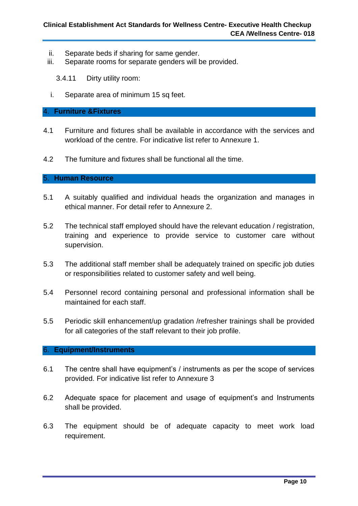- ii. Separate beds if sharing for same gender.
- iii. Separate rooms for separate genders will be provided.

3.4.11 Dirty utility room:

i. Separate area of minimum 15 sq feet.

#### 4. **Furniture &Fixtures**

- 4.1 Furniture and fixtures shall be available in accordance with the services and workload of the centre. For indicative list refer to Annexure 1.
- 4.2 The furniture and fixtures shall be functional all the time.

#### 5. **Human Resource**

- 5.1 A suitably qualified and individual heads the organization and manages in ethical manner. For detail refer to Annexure 2.
- 5.2 The technical staff employed should have the relevant education / registration, training and experience to provide service to customer care without supervision.
- 5.3 The additional staff member shall be adequately trained on specific job duties or responsibilities related to customer safety and well being.
- 5.4 Personnel record containing personal and professional information shall be maintained for each staff.
- 5.5 Periodic skill enhancement/up gradation /refresher trainings shall be provided for all categories of the staff relevant to their job profile.

#### 6. **Equipment/Instruments**

- 6.1 The centre shall have equipment's / instruments as per the scope of services provided. For indicative list refer to Annexure 3
- 6.2 Adequate space for placement and usage of equipment's and Instruments shall be provided.
- 6.3 The equipment should be of adequate capacity to meet work load requirement.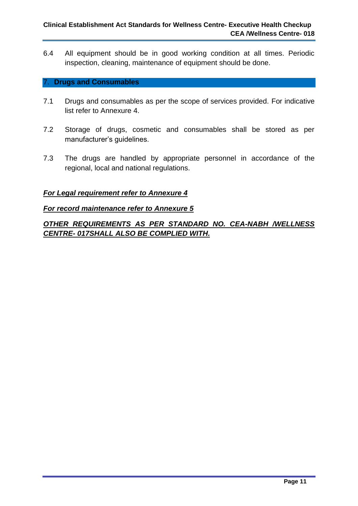6.4 All equipment should be in good working condition at all times. Periodic inspection, cleaning, maintenance of equipment should be done.

#### 7. **Drugs and Consumables**

- 7.1 Drugs and consumables as per the scope of services provided. For indicative list refer to Annexure 4.
- 7.2 Storage of drugs, cosmetic and consumables shall be stored as per manufacturer's guidelines.
- 7.3 The drugs are handled by appropriate personnel in accordance of the regional, local and national regulations.

#### *For Legal requirement refer to Annexure 4*

#### *For record maintenance refer to Annexure 5*

*OTHER REQUIREMENTS AS PER STANDARD NO. CEA-NABH /WELLNESS CENTRE- 017SHALL ALSO BE COMPLIED WITH.*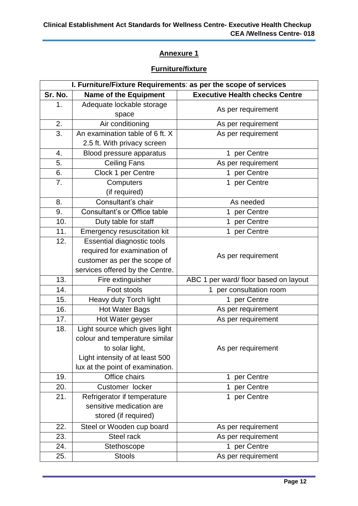# **Furniture/fixture**

| I. Furniture/Fixture Requirements: as per the scope of services |                                    |                                       |  |
|-----------------------------------------------------------------|------------------------------------|---------------------------------------|--|
| Sr. No.                                                         | <b>Name of the Equipment</b>       | <b>Executive Health checks Centre</b> |  |
| 1.                                                              | Adequate lockable storage<br>space | As per requirement                    |  |
| 2.                                                              | Air conditioning                   | As per requirement                    |  |
| 3.                                                              | An examination table of 6 ft. X    | As per requirement                    |  |
|                                                                 | 2.5 ft. With privacy screen        |                                       |  |
| 4.                                                              | Blood pressure apparatus           | per Centre<br>1                       |  |
| 5.                                                              | <b>Ceiling Fans</b>                | As per requirement                    |  |
| 6.                                                              | Clock 1 per Centre                 | per Centre<br>$\mathbf{1}$            |  |
| 7.                                                              | Computers<br>(if required)         | per Centre<br>$\mathbf 1$             |  |
| 8.                                                              | Consultant's chair                 | As needed                             |  |
| 9.                                                              | Consultant's or Office table       | per Centre<br>1                       |  |
| 10.                                                             | Duty table for staff               | per Centre<br>$\mathbf 1$             |  |
| 11.                                                             | <b>Emergency resuscitation kit</b> | 1 per Centre                          |  |
| 12.                                                             | <b>Essential diagnostic tools</b>  |                                       |  |
|                                                                 | required for examination of        |                                       |  |
|                                                                 | customer as per the scope of       | As per requirement                    |  |
|                                                                 | services offered by the Centre.    |                                       |  |
| 13.                                                             | Fire extinguisher                  | ABC 1 per ward/ floor based on layout |  |
| 14.                                                             | Foot stools                        | 1 per consultation room               |  |
| 15.                                                             | Heavy duty Torch light             | 1 per Centre                          |  |
| 16.                                                             | <b>Hot Water Bags</b>              | As per requirement                    |  |
| 17.                                                             | Hot Water geyser                   | As per requirement                    |  |
| 18.                                                             | Light source which gives light     |                                       |  |
|                                                                 | colour and temperature similar     |                                       |  |
|                                                                 | to solar light,                    | As per requirement                    |  |
|                                                                 | Light intensity of at least 500    |                                       |  |
|                                                                 | lux at the point of examination.   |                                       |  |
| 19.                                                             | Office chairs                      | per Centre<br>$\mathbf 1$             |  |
| 20.                                                             | Customer locker                    | per Centre<br>$\mathbf{1}$            |  |
| 21.                                                             | Refrigerator if temperature        | per Centre<br>$\mathbf{1}$            |  |
|                                                                 | sensitive medication are           |                                       |  |
|                                                                 | stored (if required)               |                                       |  |
| 22.                                                             | Steel or Wooden cup board          | As per requirement                    |  |
| 23.                                                             | Steel rack                         | As per requirement                    |  |
| 24.                                                             | Stethoscope                        | 1 per Centre                          |  |
| 25.                                                             | <b>Stools</b>                      | As per requirement                    |  |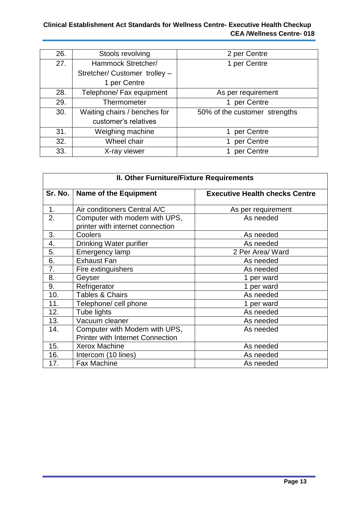# **Clinical Establishment Act Standards for Wellness Centre- Executive Health Checkup CEA /Wellness Centre- 018**

| 26. | Stools revolving              | 2 per Centre                  |
|-----|-------------------------------|-------------------------------|
| 27. | Hammock Stretcher/            | 1 per Centre                  |
|     | Stretcher/ Customer trolley - |                               |
|     | 1 per Centre                  |                               |
| 28. | Telephone/ Fax equipment      | As per requirement            |
| 29. | Thermometer                   | per Centre                    |
| 30. | Waiting chairs / benches for  | 50% of the customer strengths |
|     | customer's relatives          |                               |
| 31. | Weighing machine              | per Centre                    |
| 32. | Wheel chair                   | per Centre                    |
| 33. | X-ray viewer                  | per Centre                    |

| <b>II. Other Furniture/Fixture Requirements</b> |                                                                          |                                       |  |
|-------------------------------------------------|--------------------------------------------------------------------------|---------------------------------------|--|
| Sr. No.                                         | <b>Name of the Equipment</b>                                             | <b>Executive Health checks Centre</b> |  |
| 1.                                              | Air conditioners Central A/C                                             | As per requirement                    |  |
| 2.                                              | Computer with modem with UPS,<br>printer with internet connection        | As needed                             |  |
| 3.                                              | Coolers                                                                  | As needed                             |  |
| 4.                                              | Drinking Water purifier                                                  | As needed                             |  |
| 5.                                              | <b>Emergency lamp</b>                                                    | 2 Per Area/ Ward                      |  |
| 6.                                              | <b>Exhaust Fan</b>                                                       | As needed                             |  |
| 7.                                              | Fire extinguishers                                                       | As needed                             |  |
| 8.                                              | Geyser                                                                   | 1 per ward                            |  |
| 9.                                              | Refrigerator                                                             | 1 per ward                            |  |
| 10.                                             | Tables & Chairs                                                          | As needed                             |  |
| 11.                                             | Telephone/ cell phone                                                    | 1 per ward                            |  |
| 12.                                             | Tube lights                                                              | As needed                             |  |
| 13.                                             | Vacuum cleaner                                                           | As needed                             |  |
| 14.                                             | Computer with Modem with UPS,<br><b>Printer with Internet Connection</b> | As needed                             |  |
| 15.                                             | <b>Xerox Machine</b>                                                     | As needed                             |  |
| 16.                                             | Intercom (10 lines)                                                      | As needed                             |  |
| 17.                                             | <b>Fax Machine</b>                                                       | As needed                             |  |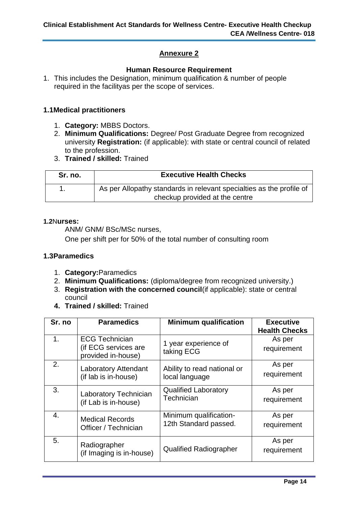#### **Human Resource Requirement**

1. This includes the Designation, minimum qualification & number of people required in the facilityas per the scope of services.

#### **1.1Medical practitioners**

- 1. **Category:** MBBS Doctors.
- 2. **Minimum Qualifications:** Degree/ Post Graduate Degree from recognized university **Registration:** (if applicable): with state or central council of related to the profession.
- 3. **Trained / skilled:** Trained

| Sr. no. | <b>Executive Health Checks</b>                                       |  |
|---------|----------------------------------------------------------------------|--|
|         | As per Allopathy standards in relevant specialties as the profile of |  |
|         | checkup provided at the centre                                       |  |

#### **1.2**N**urses:**

ANM/ GNM/ BSc/MSc nurses,

One per shift per for 50% of the total number of consulting room

#### **1.3Paramedics**

- 1. **Category:**Paramedics
- 2. **Minimum Qualifications:** (diploma/degree from recognized university.)
- 3. **Registration with the concerned council**(if applicable): state or central council
- **4. Trained / skilled:** Trained

| Sr. no         | <b>Paramedics</b>                                                   | <b>Minimum qualification</b>       | <b>Executive</b><br><b>Health Checks</b> |
|----------------|---------------------------------------------------------------------|------------------------------------|------------------------------------------|
| 1 <sub>1</sub> | <b>ECG Technician</b><br>(if ECG services are<br>provided in-house) | 1 year experience of<br>taking ECG | As per<br>requirement                    |
| 2.             | <b>Laboratory Attendant</b>                                         | Ability to read national or        | As per                                   |
|                | (if lab is in-house)                                                | local language                     | requirement                              |
| 3.             | Laboratory Technician                                               | <b>Qualified Laboratory</b>        | As per                                   |
|                | (if Lab is in-house)                                                | Technician                         | requirement                              |
| 4.             | <b>Medical Records</b>                                              | Minimum qualification-             | As per                                   |
|                | Officer / Technician                                                | 12th Standard passed.              | requirement                              |
| 5.             | Radiographer<br>(if Imaging is in-house)                            | <b>Qualified Radiographer</b>      | As per<br>requirement                    |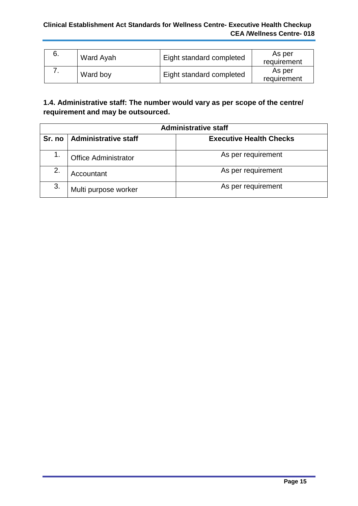#### **Clinical Establishment Act Standards for Wellness Centre- Executive Health Checkup CEA /Wellness Centre- 018**

| 6. | Ward Ayah | Eight standard completed | As per<br>requirement |
|----|-----------|--------------------------|-----------------------|
|    | Ward boy  | Eight standard completed | As per<br>requirement |

# **1.4. Administrative staff: The number would vary as per scope of the centre/ requirement and may be outsourced.**

| <b>Administrative staff</b> |                             |                                |
|-----------------------------|-----------------------------|--------------------------------|
| Sr. no <sub>1</sub>         | Administrative staff        | <b>Executive Health Checks</b> |
| 1.                          | <b>Office Administrator</b> | As per requirement             |
| 2.                          | Accountant                  | As per requirement             |
| 3.                          | Multi purpose worker        | As per requirement             |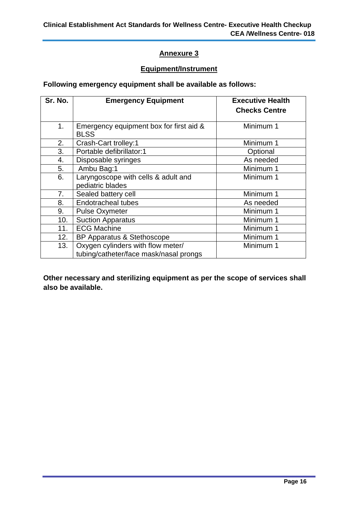# **Equipment/Instrument**

# **Following emergency equipment shall be available as follows:**

| Sr. No.        | <b>Emergency Equipment</b>                                                  | <b>Executive Health</b><br><b>Checks Centre</b> |
|----------------|-----------------------------------------------------------------------------|-------------------------------------------------|
| 1 <sub>1</sub> | Emergency equipment box for first aid &<br><b>BLSS</b>                      | Minimum 1                                       |
| 2.             | Crash-Cart trolley:1                                                        | Minimum 1                                       |
| 3.             | Portable defibrillator:1                                                    | Optional                                        |
| 4.             | Disposable syringes                                                         | As needed                                       |
| 5.             | Ambu Bag:1                                                                  | Minimum 1                                       |
| 6.             | Laryngoscope with cells & adult and<br>pediatric blades                     | Minimum 1                                       |
| 7 <sub>1</sub> | Sealed battery cell                                                         | Minimum 1                                       |
| 8.             | <b>Endotracheal tubes</b>                                                   | As needed                                       |
| 9.             | <b>Pulse Oxymeter</b>                                                       | Minimum 1                                       |
| 10.            | <b>Suction Apparatus</b>                                                    | Minimum 1                                       |
| 11.            | <b>ECG Machine</b>                                                          | Minimum 1                                       |
| 12.            | BP Apparatus & Stethoscope                                                  | Minimum 1                                       |
| 13.            | Oxygen cylinders with flow meter/<br>tubing/catheter/face mask/nasal prongs | Minimum 1                                       |

**Other necessary and sterilizing equipment as per the scope of services shall also be available.**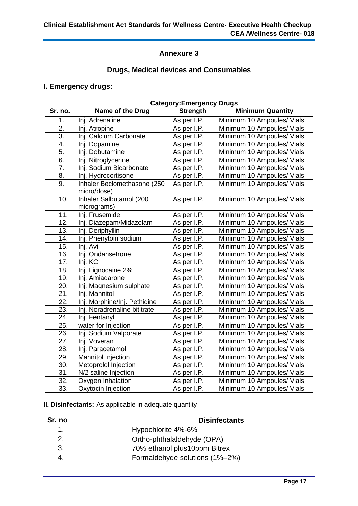# **Drugs, Medical devices and Consumables**

# **I. Emergency drugs:**

|         | <b>Category:Emergency Drugs</b> |                 |                            |
|---------|---------------------------------|-----------------|----------------------------|
| Sr. no. | Name of the Drug                | <b>Strength</b> | <b>Minimum Quantity</b>    |
| 1.      | Inj. Adrenaline                 | As per I.P.     | Minimum 10 Ampoules/ Vials |
| 2.      | Inj. Atropine                   | As per I.P.     | Minimum 10 Ampoules/ Vials |
| 3.      | Inj. Calcium Carbonate          | As per I.P.     | Minimum 10 Ampoules/ Vials |
| 4.      | Inj. Dopamine                   | As per I.P.     | Minimum 10 Ampoules/ Vials |
| 5.      | Inj. Dobutamine                 | As per I.P.     | Minimum 10 Ampoules/ Vials |
| 6.      | Inj. Nitroglycerine             | As per I.P.     | Minimum 10 Ampoules/ Vials |
| 7.      | Inj. Sodium Bicarbonate         | As per I.P.     | Minimum 10 Ampoules/ Vials |
| 8.      | Inj. Hydrocortisone             | As per I.P.     | Minimum 10 Ampoules/ Vials |
| 9.      | Inhaler Beclomethasone (250     | As per I.P.     | Minimum 10 Ampoules/ Vials |
|         | micro/dose)                     |                 |                            |
| 10.     | Inhaler Salbutamol (200         | As per I.P.     | Minimum 10 Ampoules/ Vials |
|         | micrograms)                     |                 |                            |
| 11.     | Inj. Frusemide                  | As per I.P.     | Minimum 10 Ampoules/ Vials |
| 12.     | Inj. Diazepam/Midazolam         | As per I.P.     | Minimum 10 Ampoules/ Vials |
| 13.     | Inj. Deriphyllin                | As per I.P.     | Minimum 10 Ampoules/ Vials |
| 14.     | Inj. Phenytoin sodium           | As per I.P.     | Minimum 10 Ampoules/ Vials |
| 15.     | Inj. Avil                       | As per I.P.     | Minimum 10 Ampoules/ Vials |
| 16.     | Inj. Ondansetrone               | As per I.P.     | Minimum 10 Ampoules/ Vials |
| 17.     | Inj. KCI                        | As per I.P.     | Minimum 10 Ampoules/ Vials |
| 18.     | Inj. Lignocaine 2%              | As per I.P.     | Minimum 10 Ampoules/ Vials |
| 19.     | Inj. Amiadarone                 | As per I.P.     | Minimum 10 Ampoules/ Vials |
| 20.     | Inj. Magnesium sulphate         | As per I.P.     | Minimum 10 Ampoules/ Vials |
| 21.     | Inj. Mannitol                   | As per I.P.     | Minimum 10 Ampoules/ Vials |
| 22.     | Inj. Morphine/Inj. Pethidine    | As per I.P.     | Minimum 10 Ampoules/ Vials |
| 23.     | Inj. Noradrenaline bititrate    | As per I.P.     | Minimum 10 Ampoules/ Vials |
| 24.     | Inj. Fentanyl                   | As per I.P.     | Minimum 10 Ampoules/ Vials |
| 25.     | water for Injection             | As per I.P.     | Minimum 10 Ampoules/ Vials |
| 26.     | Inj. Sodium Valporate           | As per I.P.     | Minimum 10 Ampoules/ Vials |
| 27.     | Inj. Voveran                    | As per I.P.     | Minimum 10 Ampoules/ Vials |
| 28.     | Inj. Paracetamol                | As per I.P.     | Minimum 10 Ampoules/ Vials |
| 29.     | Mannitol Injection              | As per I.P.     | Minimum 10 Ampoules/ Vials |
| 30.     | Metoprolol Injection            | As per I.P.     | Minimum 10 Ampoules/ Vials |
| 31.     | N/2 saline Injection            | As per I.P.     | Minimum 10 Ampoules/ Vials |
| 32.     | Oxygen Inhalation               | As per I.P.     | Minimum 10 Ampoules/ Vials |
| 33.     | Oxytocin Injection              | As per I.P.     | Minimum 10 Ampoules/ Vials |

**II. Disinfectants:** As applicable in adequate quantity

| Sr. no | <b>Disinfectants</b>           |
|--------|--------------------------------|
|        | Hypochlorite 4%-6%             |
|        | Ortho-phthalaldehyde (OPA)     |
|        | 70% ethanol plus10ppm Bitrex   |
|        | Formaldehyde solutions (1%-2%) |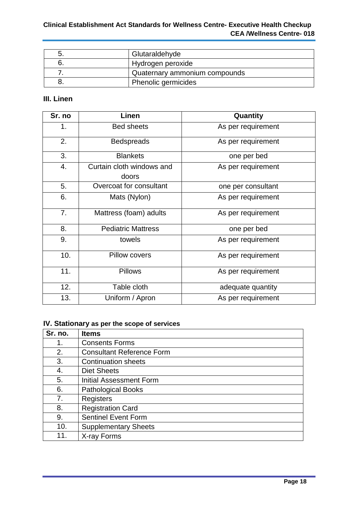#### **Clinical Establishment Act Standards for Wellness Centre- Executive Health Checkup CEA /Wellness Centre- 018**

| Glutaraldehyde                |
|-------------------------------|
| Hydrogen peroxide             |
| Quaternary ammonium compounds |
| Phenolic germicides           |

# **III. Linen**

| Sr. no | Linen                              | Quantity           |
|--------|------------------------------------|--------------------|
| 1.     | <b>Bed sheets</b>                  | As per requirement |
| 2.     | <b>Bedspreads</b>                  | As per requirement |
| 3.     | <b>Blankets</b>                    | one per bed        |
| 4.     | Curtain cloth windows and<br>doors | As per requirement |
| 5.     | Overcoat for consultant            | one per consultant |
| 6.     | Mats (Nylon)                       | As per requirement |
| 7.     | Mattress (foam) adults             | As per requirement |
| 8.     | <b>Pediatric Mattress</b>          | one per bed        |
| 9.     | towels                             | As per requirement |
| 10.    | <b>Pillow covers</b>               | As per requirement |
| 11.    | <b>Pillows</b>                     | As per requirement |
| 12.    | Table cloth                        | adequate quantity  |
| 13.    | Uniform / Apron                    | As per requirement |

# **IV. Stationary as per the scope of services**

| Sr. no. | <b>Items</b>                     |
|---------|----------------------------------|
| 1.      | <b>Consents Forms</b>            |
| 2.      | <b>Consultant Reference Form</b> |
| 3.      | <b>Continuation sheets</b>       |
| 4.      | <b>Diet Sheets</b>               |
| 5.      | <b>Initial Assessment Form</b>   |
| 6.      | <b>Pathological Books</b>        |
| 7.      | Registers                        |
| 8.      | <b>Registration Card</b>         |
| 9.      | <b>Sentinel Event Form</b>       |
| 10.     | <b>Supplementary Sheets</b>      |
| 11.     | X-ray Forms                      |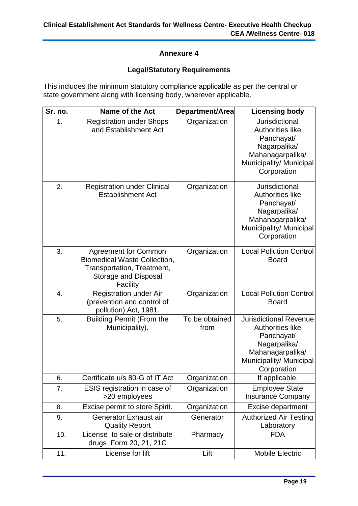# **Legal/Statutory Requirements**

This includes the minimum statutory compliance applicable as per the central or state government along with licensing body, wherever applicable.

| Sr. no. | <b>Name of the Act</b>                                                                                                               | Department/Area        | <b>Licensing body</b>                                                                                                                                |
|---------|--------------------------------------------------------------------------------------------------------------------------------------|------------------------|------------------------------------------------------------------------------------------------------------------------------------------------------|
| 1.      | <b>Registration under Shops</b><br>and Establishment Act                                                                             | Organization           | Jurisdictional<br>Authorities like<br>Panchayat/<br>Nagarpalika/<br>Mahanagarpalika/<br>Municipality/ Municipal<br>Corporation                       |
| 2.      | <b>Registration under Clinical</b><br><b>Establishment Act</b>                                                                       | Organization           | Jurisdictional<br>Authorities like<br>Panchayat/<br>Nagarpalika/<br>Mahanagarpalika/<br>Municipality/ Municipal<br>Corporation                       |
| 3.      | <b>Agreement for Common</b><br><b>Biomedical Waste Collection,</b><br>Transportation, Treatment,<br>Storage and Disposal<br>Facility | Organization           | <b>Local Pollution Control</b><br><b>Board</b>                                                                                                       |
| 4.      | <b>Registration under Air</b><br>(prevention and control of<br>pollution) Act, 1981.                                                 | Organization           | <b>Local Pollution Control</b><br><b>Board</b>                                                                                                       |
| 5.      | <b>Building Permit (From the</b><br>Municipality).                                                                                   | To be obtained<br>from | <b>Jurisdictional Revenue</b><br><b>Authorities like</b><br>Panchayat/<br>Nagarpalika/<br>Mahanagarpalika/<br>Municipality/ Municipal<br>Corporation |
| 6.      | Certificate u/s 80-G of IT Act                                                                                                       | Organization           | If applicable.                                                                                                                                       |
| 7.      | ESIS registration in case of<br>>20 employees                                                                                        | Organization           | <b>Employee State</b><br><b>Insurance Company</b>                                                                                                    |
| 8.      | Excise permit to store Spirit.                                                                                                       | Organization           | <b>Excise department</b>                                                                                                                             |
| 9.      | Generator Exhaust air<br><b>Quality Report</b>                                                                                       | Generator              | <b>Authorized Air Testing</b><br>Laboratory                                                                                                          |
| 10.     | License to sale or distribute<br>drugs Form 20, 21, 21C                                                                              | Pharmacy               | <b>FDA</b>                                                                                                                                           |
| 11.     | License for lift                                                                                                                     | Lift                   | <b>Mobile Electric</b>                                                                                                                               |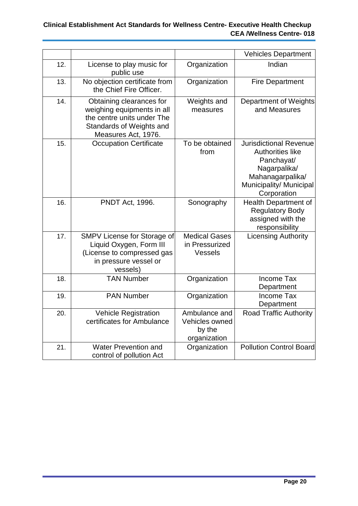# **Clinical Establishment Act Standards for Wellness Centre- Executive Health Checkup CEA /Wellness Centre- 018**

|     |                                                                                                                                         |                                                           | <b>Vehicles Department</b>                                                                                                                           |
|-----|-----------------------------------------------------------------------------------------------------------------------------------------|-----------------------------------------------------------|------------------------------------------------------------------------------------------------------------------------------------------------------|
| 12. | License to play music for<br>public use                                                                                                 | Organization                                              | Indian                                                                                                                                               |
| 13. | No objection certificate from<br>the Chief Fire Officer.                                                                                | Organization                                              | <b>Fire Department</b>                                                                                                                               |
| 14. | Obtaining clearances for<br>weighing equipments in all<br>the centre units under The<br>Standards of Weights and<br>Measures Act, 1976. | Weights and<br>measures                                   | Department of Weights<br>and Measures                                                                                                                |
| 15. | <b>Occupation Certificate</b>                                                                                                           | To be obtained<br>from                                    | <b>Jurisdictional Revenue</b><br><b>Authorities like</b><br>Panchayat/<br>Nagarpalika/<br>Mahanagarpalika/<br>Municipality/ Municipal<br>Corporation |
| 16. | <b>PNDT Act, 1996.</b>                                                                                                                  | Sonography                                                | <b>Health Department of</b><br><b>Regulatory Body</b><br>assigned with the<br>responsibility                                                         |
| 17. | SMPV License for Storage of<br>Liquid Oxygen, Form III<br>(License to compressed gas<br>in pressure vessel or<br>vessels)               | <b>Medical Gases</b><br>in Pressurized<br>Vessels         | <b>Licensing Authority</b>                                                                                                                           |
| 18. | <b>TAN Number</b>                                                                                                                       | Organization                                              | <b>Income Tax</b><br>Department                                                                                                                      |
| 19. | <b>PAN Number</b>                                                                                                                       | Organization                                              | <b>Income Tax</b><br>Department                                                                                                                      |
| 20. | <b>Vehicle Registration</b><br>certificates for Ambulance                                                                               | Ambulance and<br>Vehicles owned<br>by the<br>organization | Road Traffic Authority                                                                                                                               |
| 21. | <b>Water Prevention and</b><br>control of pollution Act                                                                                 | Organization                                              | <b>Pollution Control Board</b>                                                                                                                       |